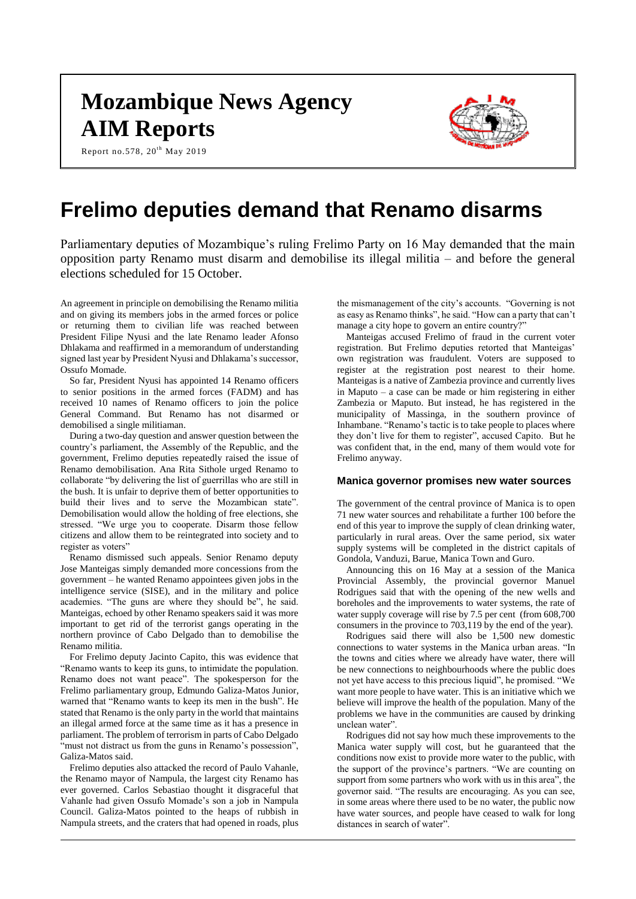# **Mozambique News Agency AIM Reports**





# **Frelimo deputies demand that Renamo disarms**

Parliamentary deputies of Mozambique's ruling Frelimo Party on 16 May demanded that the main opposition party Renamo must disarm and demobilise its illegal militia – and before the general elections scheduled for 15 October.

An agreement in principle on demobilising the Renamo militia and on giving its members jobs in the armed forces or police or returning them to civilian life was reached between President Filipe Nyusi and the late Renamo leader Afonso Dhlakama and reaffirmed in a memorandum of understanding signed last year by President Nyusi and Dhlakama's successor, Ossufo Momade.

So far, President Nyusi has appointed 14 Renamo officers to senior positions in the armed forces (FADM) and has received 10 names of Renamo officers to join the police General Command. But Renamo has not disarmed or demobilised a single militiaman.

During a two-day question and answer question between the country's parliament, the Assembly of the Republic, and the government, Frelimo deputies repeatedly raised the issue of Renamo demobilisation. Ana Rita Sithole urged Renamo to collaborate "by delivering the list of guerrillas who are still in the bush. It is unfair to deprive them of better opportunities to build their lives and to serve the Mozambican state". Demobilisation would allow the holding of free elections, she stressed. "We urge you to cooperate. Disarm those fellow citizens and allow them to be reintegrated into society and to register as voters"

Renamo dismissed such appeals. Senior Renamo deputy Jose Manteigas simply demanded more concessions from the government – he wanted Renamo appointees given jobs in the intelligence service (SISE), and in the military and police academies. "The guns are where they should be", he said. Manteigas, echoed by other Renamo speakers said it was more important to get rid of the terrorist gangs operating in the northern province of Cabo Delgado than to demobilise the Renamo militia.

For Frelimo deputy Jacinto Capito, this was evidence that "Renamo wants to keep its guns, to intimidate the population. Renamo does not want peace". The spokesperson for the Frelimo parliamentary group, Edmundo Galiza-Matos Junior, warned that "Renamo wants to keep its men in the bush". He stated that Renamo is the only party in the world that maintains an illegal armed force at the same time as it has a presence in parliament. The problem of terrorism in parts of Cabo Delgado "must not distract us from the guns in Renamo's possession", Galiza-Matos said.

Frelimo deputies also attacked the record of Paulo Vahanle, the Renamo mayor of Nampula, the largest city Renamo has ever governed. Carlos Sebastiao thought it disgraceful that Vahanle had given Ossufo Momade's son a job in Nampula Council. Galiza-Matos pointed to the heaps of rubbish in Nampula streets, and the craters that had opened in roads, plus

the mismanagement of the city's accounts. "Governing is not as easy as Renamo thinks", he said. "How can a party that can't manage a city hope to govern an entire country?"

Manteigas accused Frelimo of fraud in the current voter registration. But Frelimo deputies retorted that Manteigas' own registration was fraudulent. Voters are supposed to register at the registration post nearest to their home. Manteigas is a native of Zambezia province and currently lives in Maputo – a case can be made or him registering in either Zambezia or Maputo. But instead, he has registered in the municipality of Massinga, in the southern province of Inhambane. "Renamo's tactic is to take people to places where they don't live for them to register", accused Capito. But he was confident that, in the end, many of them would vote for Frelimo anyway.

## **Manica governor promises new water sources**

The government of the central province of Manica is to open 71 new water sources and rehabilitate a further 100 before the end of this year to improve the supply of clean drinking water, particularly in rural areas. Over the same period, six water supply systems will be completed in the district capitals of Gondola, Vanduzi, Barue, Manica Town and Guro.

Announcing this on 16 May at a session of the Manica Provincial Assembly, the provincial governor Manuel Rodrigues said that with the opening of the new wells and boreholes and the improvements to water systems, the rate of water supply coverage will rise by 7.5 per cent (from 608,700) consumers in the province to 703,119 by the end of the year).

Rodrigues said there will also be 1,500 new domestic connections to water systems in the Manica urban areas. "In the towns and cities where we already have water, there will be new connections to neighbourhoods where the public does not yet have access to this precious liquid", he promised. "We want more people to have water. This is an initiative which we believe will improve the health of the population. Many of the problems we have in the communities are caused by drinking unclean water".

Rodrigues did not say how much these improvements to the Manica water supply will cost, but he guaranteed that the conditions now exist to provide more water to the public, with the support of the province's partners. "We are counting on support from some partners who work with us in this area", the governor said. "The results are encouraging. As you can see, in some areas where there used to be no water, the public now have water sources, and people have ceased to walk for long distances in search of water".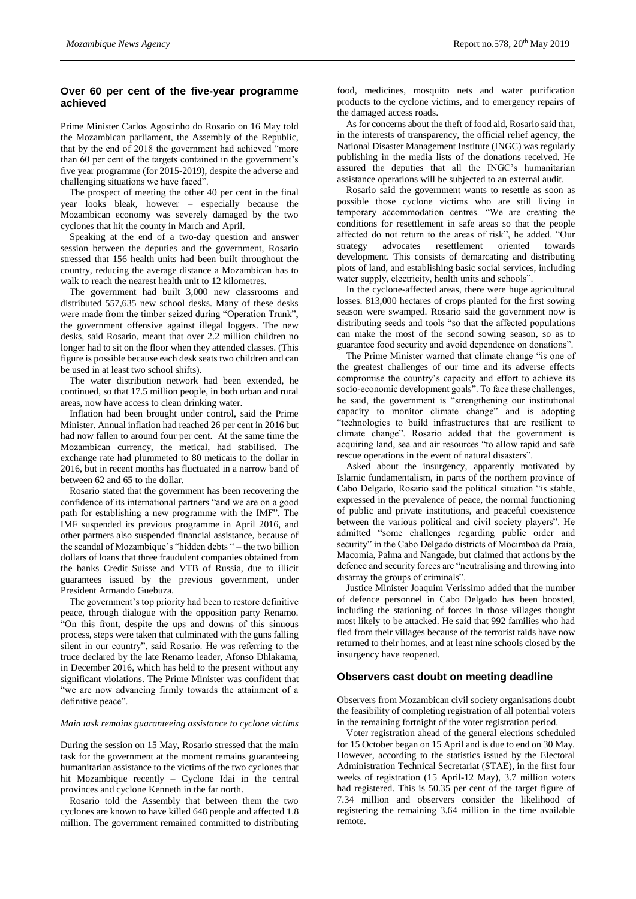# **Over 60 per cent of the five-year programme achieved**

Prime Minister Carlos Agostinho do Rosario on 16 May told the Mozambican parliament, the Assembly of the Republic, that by the end of 2018 the government had achieved "more than 60 per cent of the targets contained in the government's five year programme (for 2015-2019), despite the adverse and challenging situations we have faced".

The prospect of meeting the other 40 per cent in the final year looks bleak, however – especially because the Mozambican economy was severely damaged by the two cyclones that hit the county in March and April.

Speaking at the end of a two-day question and answer session between the deputies and the government, Rosario stressed that 156 health units had been built throughout the country, reducing the average distance a Mozambican has to walk to reach the nearest health unit to 12 kilometres.

The government had built 3,000 new classrooms and distributed 557,635 new school desks. Many of these desks were made from the timber seized during "Operation Trunk", the government offensive against illegal loggers. The new desks, said Rosario, meant that over 2.2 million children no longer had to sit on the floor when they attended classes. (This figure is possible because each desk seats two children and can be used in at least two school shifts).

The water distribution network had been extended, he continued, so that 17.5 million people, in both urban and rural areas, now have access to clean drinking water.

Inflation had been brought under control, said the Prime Minister. Annual inflation had reached 26 per cent in 2016 but had now fallen to around four per cent. At the same time the Mozambican currency, the metical, had stabilised. The exchange rate had plummeted to 80 meticais to the dollar in 2016, but in recent months has fluctuated in a narrow band of between 62 and 65 to the dollar.

Rosario stated that the government has been recovering the confidence of its international partners "and we are on a good path for establishing a new programme with the IMF". The IMF suspended its previous programme in April 2016, and other partners also suspended financial assistance, because of the scandal of Mozambique's "hidden debts " – the two billion dollars of loans that three fraudulent companies obtained from the banks Credit Suisse and VTB of Russia, due to illicit guarantees issued by the previous government, under President Armando Guebuza.

The government's top priority had been to restore definitive peace, through dialogue with the opposition party Renamo. "On this front, despite the ups and downs of this sinuous process, steps were taken that culminated with the guns falling silent in our country", said Rosario. He was referring to the truce declared by the late Renamo leader, Afonso Dhlakama, in December 2016, which has held to the present without any significant violations. The Prime Minister was confident that "we are now advancing firmly towards the attainment of a definitive peace".

#### *Main task remains guaranteeing assistance to cyclone victims*

During the session on 15 May, Rosario stressed that the main task for the government at the moment remains guaranteeing humanitarian assistance to the victims of the two cyclones that hit Mozambique recently – Cyclone Idai in the central provinces and cyclone Kenneth in the far north.

Rosario told the Assembly that between them the two cyclones are known to have killed 648 people and affected 1.8 million. The government remained committed to distributing

food, medicines, mosquito nets and water purification products to the cyclone victims, and to emergency repairs of the damaged access roads.

As for concerns about the theft of food aid, Rosario said that, in the interests of transparency, the official relief agency, the National Disaster Management Institute (INGC) was regularly publishing in the media lists of the donations received. He assured the deputies that all the INGC's humanitarian assistance operations will be subjected to an external audit.

Rosario said the government wants to resettle as soon as possible those cyclone victims who are still living in temporary accommodation centres. "We are creating the conditions for resettlement in safe areas so that the people affected do not return to the areas of risk", he added. "Our strategy advocates resettlement oriented towards development. This consists of demarcating and distributing plots of land, and establishing basic social services, including water supply, electricity, health units and schools".

In the cyclone-affected areas, there were huge agricultural losses. 813,000 hectares of crops planted for the first sowing season were swamped. Rosario said the government now is distributing seeds and tools "so that the affected populations can make the most of the second sowing season, so as to guarantee food security and avoid dependence on donations".

The Prime Minister warned that climate change "is one of the greatest challenges of our time and its adverse effects compromise the country's capacity and effort to achieve its socio-economic development goals". To face these challenges, he said, the government is "strengthening our institutional capacity to monitor climate change" and is adopting "technologies to build infrastructures that are resilient to climate change". Rosario added that the government is acquiring land, sea and air resources "to allow rapid and safe rescue operations in the event of natural disasters".

Asked about the insurgency, apparently motivated by Islamic fundamentalism, in parts of the northern province of Cabo Delgado, Rosario said the political situation "is stable, expressed in the prevalence of peace, the normal functioning of public and private institutions, and peaceful coexistence between the various political and civil society players". He admitted "some challenges regarding public order and security" in the Cabo Delgado districts of Mocimboa da Praia, Macomia, Palma and Nangade, but claimed that actions by the defence and security forces are "neutralising and throwing into disarray the groups of criminals".

Justice Minister Joaquim Verissimo added that the number of defence personnel in Cabo Delgado has been boosted, including the stationing of forces in those villages thought most likely to be attacked. He said that 992 families who had fled from their villages because of the terrorist raids have now returned to their homes, and at least nine schools closed by the insurgency have reopened.

#### **Observers cast doubt on meeting deadline**

Observers from Mozambican civil society organisations doubt the feasibility of completing registration of all potential voters in the remaining fortnight of the voter registration period.

Voter registration ahead of the general elections scheduled for 15 October began on 15 April and is due to end on 30 May. However, according to the statistics issued by the Electoral Administration Technical Secretariat (STAE), in the first four weeks of registration (15 April-12 May), 3.7 million voters had registered. This is 50.35 per cent of the target figure of 7.34 million and observers consider the likelihood of registering the remaining 3.64 million in the time available remote.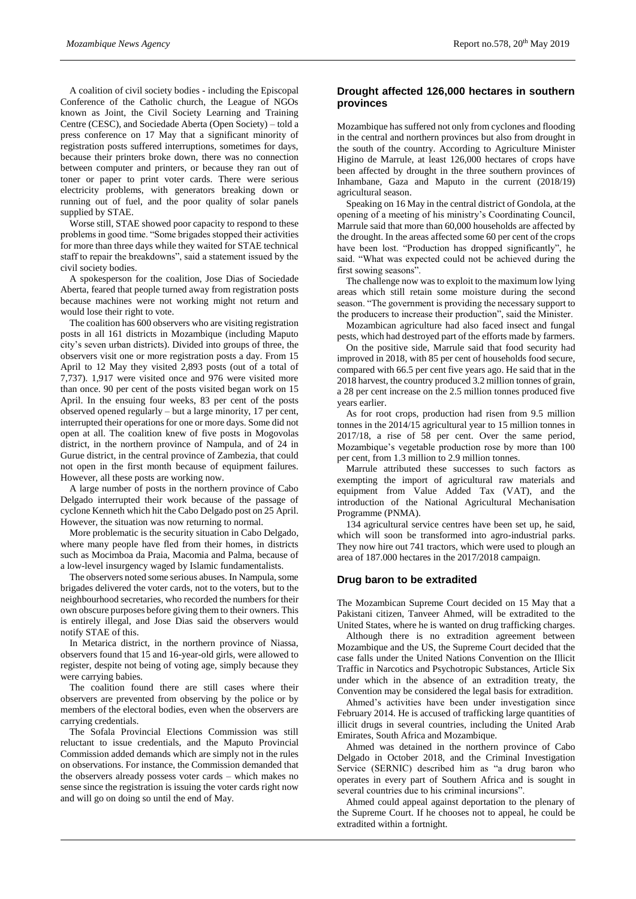A coalition of civil society bodies - including the Episcopal Conference of the Catholic church, the League of NGOs known as Joint, the Civil Society Learning and Training Centre (CESC), and Sociedade Aberta (Open Society) – told a press conference on 17 May that a significant minority of registration posts suffered interruptions, sometimes for days, because their printers broke down, there was no connection between computer and printers, or because they ran out of toner or paper to print voter cards. There were serious electricity problems, with generators breaking down or running out of fuel, and the poor quality of solar panels supplied by STAE.

Worse still, STAE showed poor capacity to respond to these problems in good time. "Some brigades stopped their activities for more than three days while they waited for STAE technical staff to repair the breakdowns", said a statement issued by the civil society bodies.

A spokesperson for the coalition, Jose Dias of Sociedade Aberta, feared that people turned away from registration posts because machines were not working might not return and would lose their right to vote.

The coalition has 600 observers who are visiting registration posts in all 161 districts in Mozambique (including Maputo city's seven urban districts). Divided into groups of three, the observers visit one or more registration posts a day. From 15 April to 12 May they visited 2,893 posts (out of a total of 7,737). 1,917 were visited once and 976 were visited more than once. 90 per cent of the posts visited began work on 15 April. In the ensuing four weeks, 83 per cent of the posts observed opened regularly – but a large minority, 17 per cent, interrupted their operations for one or more days. Some did not open at all. The coalition knew of five posts in Mogovolas district, in the northern province of Nampula, and of 24 in Gurue district, in the central province of Zambezia, that could not open in the first month because of equipment failures. However, all these posts are working now.

A large number of posts in the northern province of Cabo Delgado interrupted their work because of the passage of cyclone Kenneth which hit the Cabo Delgado post on 25 April. However, the situation was now returning to normal.

More problematic is the security situation in Cabo Delgado, where many people have fled from their homes, in districts such as Mocimboa da Praia, Macomia and Palma, because of a low-level insurgency waged by Islamic fundamentalists.

The observers noted some serious abuses. In Nampula, some brigades delivered the voter cards, not to the voters, but to the neighbourhood secretaries, who recorded the numbers for their own obscure purposes before giving them to their owners. This is entirely illegal, and Jose Dias said the observers would notify STAE of this.

In Metarica district, in the northern province of Niassa, observers found that 15 and 16-year-old girls, were allowed to register, despite not being of voting age, simply because they were carrying babies.

The coalition found there are still cases where their observers are prevented from observing by the police or by members of the electoral bodies, even when the observers are carrying credentials.

The Sofala Provincial Elections Commission was still reluctant to issue credentials, and the Maputo Provincial Commission added demands which are simply not in the rules on observations. For instance, the Commission demanded that the observers already possess voter cards – which makes no sense since the registration is issuing the voter cards right now and will go on doing so until the end of May.

# **Drought affected 126,000 hectares in southern provinces**

Mozambique has suffered not only from cyclones and flooding in the central and northern provinces but also from drought in the south of the country. According to Agriculture Minister Higino de Marrule, at least 126,000 hectares of crops have been affected by drought in the three southern provinces of Inhambane, Gaza and Maputo in the current (2018/19) agricultural season.

Speaking on 16 May in the central district of Gondola, at the opening of a meeting of his ministry's Coordinating Council, Marrule said that more than 60,000 households are affected by the drought. In the areas affected some 60 per cent of the crops have been lost. "Production has dropped significantly", he said. "What was expected could not be achieved during the first sowing seasons".

The challenge now was to exploit to the maximum low lying areas which still retain some moisture during the second season. "The government is providing the necessary support to the producers to increase their production", said the Minister.

Mozambican agriculture had also faced insect and fungal pests, which had destroyed part of the efforts made by farmers.

On the positive side, Marrule said that food security had improved in 2018, with 85 per cent of households food secure, compared with 66.5 per cent five years ago. He said that in the 2018 harvest, the country produced 3.2 million tonnes of grain, a 28 per cent increase on the 2.5 million tonnes produced five years earlier.

As for root crops, production had risen from 9.5 million tonnes in the 2014/15 agricultural year to 15 million tonnes in 2017/18, a rise of 58 per cent. Over the same period, Mozambique's vegetable production rose by more than 100 per cent, from 1.3 million to 2.9 million tonnes.

Marrule attributed these successes to such factors as exempting the import of agricultural raw materials and equipment from Value Added Tax (VAT), and the introduction of the National Agricultural Mechanisation Programme (PNMA).

134 agricultural service centres have been set up, he said, which will soon be transformed into agro-industrial parks. They now hire out 741 tractors, which were used to plough an area of 187.000 hectares in the 2017/2018 campaign.

#### **Drug baron to be extradited**

The Mozambican Supreme Court decided on 15 May that a Pakistani citizen, Tanveer Ahmed, will be extradited to the United States, where he is wanted on drug trafficking charges.

Although there is no extradition agreement between Mozambique and the US, the Supreme Court decided that the case falls under the United Nations Convention on the Illicit Traffic in Narcotics and Psychotropic Substances, Article Six under which in the absence of an extradition treaty, the Convention may be considered the legal basis for extradition.

Ahmed's activities have been under investigation since February 2014. He is accused of trafficking large quantities of illicit drugs in several countries, including the United Arab Emirates, South Africa and Mozambique.

Ahmed was detained in the northern province of Cabo Delgado in October 2018, and the Criminal Investigation Service (SERNIC) described him as "a drug baron who operates in every part of Southern Africa and is sought in several countries due to his criminal incursions".

Ahmed could appeal against deportation to the plenary of the Supreme Court. If he chooses not to appeal, he could be extradited within a fortnight.